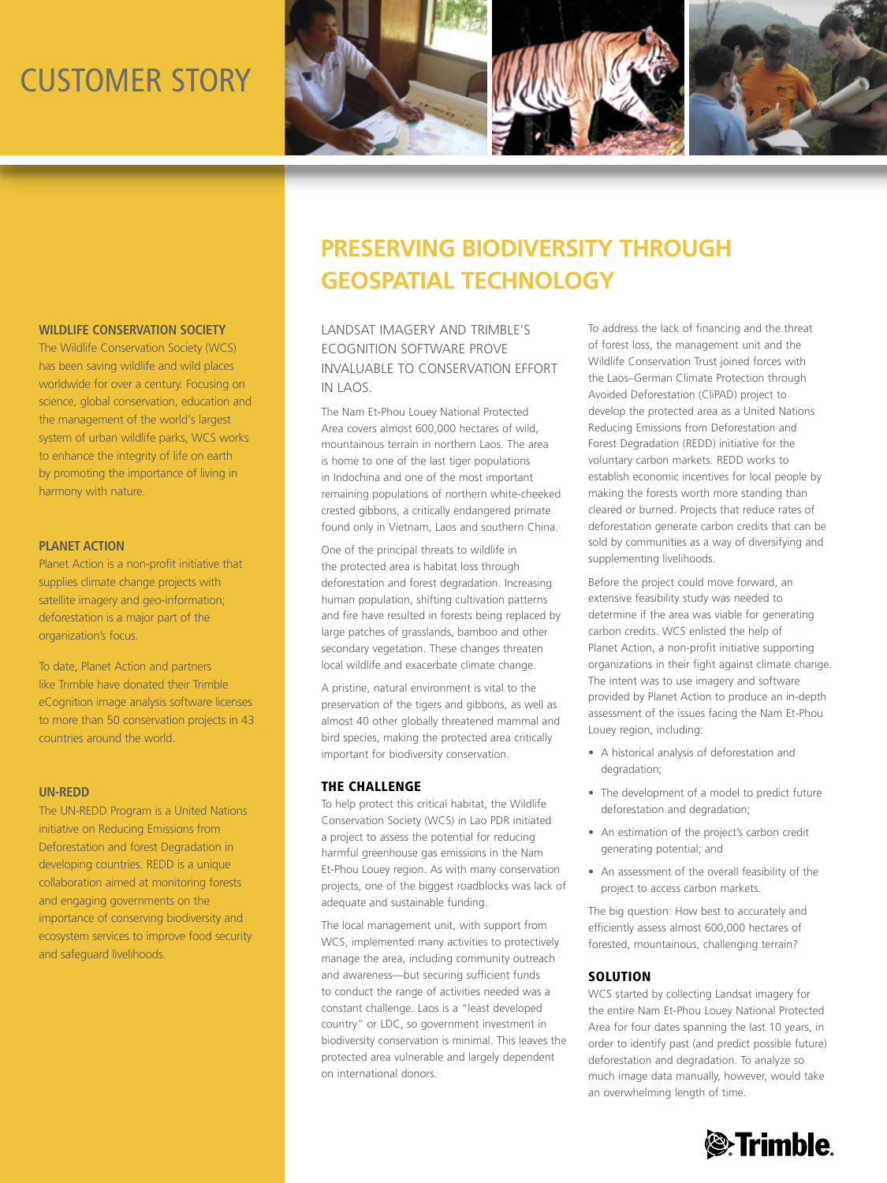# customer story



## **Wildlife Conservation Society**

The Wildlife Conservation Society (WCS) has been saving wildlife and wild places worldwide for over a century. Focusing on science, global conservation, education and the management of the world's largest system of urban wildlife parks, WCS works to enhance the integrity of life on earth by promoting the importance of living in harmony with nature.

### **Planet Action**

Planet Action is a non-profit initiative that supplies climate change projects with satellite imagery and geo-information; deforestation is a major part of the organization's focus.

To date, Planet Action and partners like Trimble have donated their Trimble eCognition image analysis software licenses to more than 50 conservation projects in 43 countries around the world.

### **UN-REDD**

The UN-REDD Program is a United Nations initiative on Reducing Emissions from Deforestation and forest Degradation in developing countries. REDD is a unique collaboration aimed at monitoring forests and engaging governments on the importance of conserving biodiversity and ecosystem services to improve food security and safeguard livelihoods.

# **Preserving Biodiversity through Geospatial Technology**

LANDSAT IMAGERY AND TRIMBLE'S ECOGNITION SOFTWARE PROVE INVALUABLE TO CONSERVATION EFFORT IN LAOS.

The Nam Et-Phou Louey National Protected Area covers almost 600,000 hectares of wild, mountainous terrain in northern Laos. The area is home to one of the last tiger populations in Indochina and one of the most important remaining populations of northern white-cheeked crested gibbons, a critically endangered primate found only in Vietnam, Laos and southern China.

One of the principal threats to wildlife in the protected area is habitat loss through deforestation and forest degradation. Increasing human population, shifting cultivation patterns and fire have resulted in forests being replaced by large patches of grasslands, bamboo and other secondary vegetation. These changes threaten local wildlife and exacerbate climate change.

A pristine, natural environment is vital to the preservation of the tigers and gibbons, as well as almost 40 other globally threatened mammal and bird species, making the protected area critically important for biodiversity conservation.

### THE CHALLENGE

To help protect this critical habitat, the Wildlife Conservation Society (WCS) in Lao PDR initiated a project to assess the potential for reducing harmful greenhouse gas emissions in the Nam Et-Phou Louey region. As with many conservation projects, one of the biggest roadblocks was lack of adequate and sustainable funding.

The local management unit, with support from WCS, implemented many activities to protectively manage the area, including community outreach and awareness—but securing sufficient funds to conduct the range of activities needed was a constant challenge. Laos is a "least developed country" or LDC, so government investment in biodiversity conservation is minimal. This leaves the protected area vulnerable and largely dependent on international donors.

To address the lack of financing and the threat of forest loss, the management unit and the Wildlife Conservation Trust joined forces with the Laos–German Climate Protection through Avoided Deforestation (CliPAD) project to develop the protected area as a United Nations Reducing Emissions from Deforestation and Forest Degradation (REDD) initiative for the voluntary carbon markets. REDD works to establish economic incentives for local people by making the forests worth more standing than cleared or burned. Projects that reduce rates of deforestation generate carbon credits that can be sold by communities as a way of diversifying and supplementing livelihoods.

Before the project could move forward, an extensive feasibility study was needed to determine if the area was viable for generating carbon credits. WCS enlisted the help of Planet Action, a non-profit initiative supporting organizations in their fight against climate change. The intent was to use imagery and software provided by Planet Action to produce an in-depth assessment of the issues facing the Nam Et-Phou Louey region, including:

- • A historical analysis of deforestation and degradation;
- The development of a model to predict future deforestation and degradation;
- An estimation of the project's carbon credit generating potential; and
- An assessment of the overall feasibility of the project to access carbon markets.

The big question: How best to accurately and efficiently assess almost 600,000 hectares of forested, mountainous, challenging terrain?

### **SOLUTION**

WCS started by collecting Landsat imagery for the entire Nam Et-Phou Louey National Protected Area for four dates spanning the last 10 years, in order to identify past (and predict possible future) deforestation and degradation. To analyze so much image data manually, however, would take an overwhelming length of time.